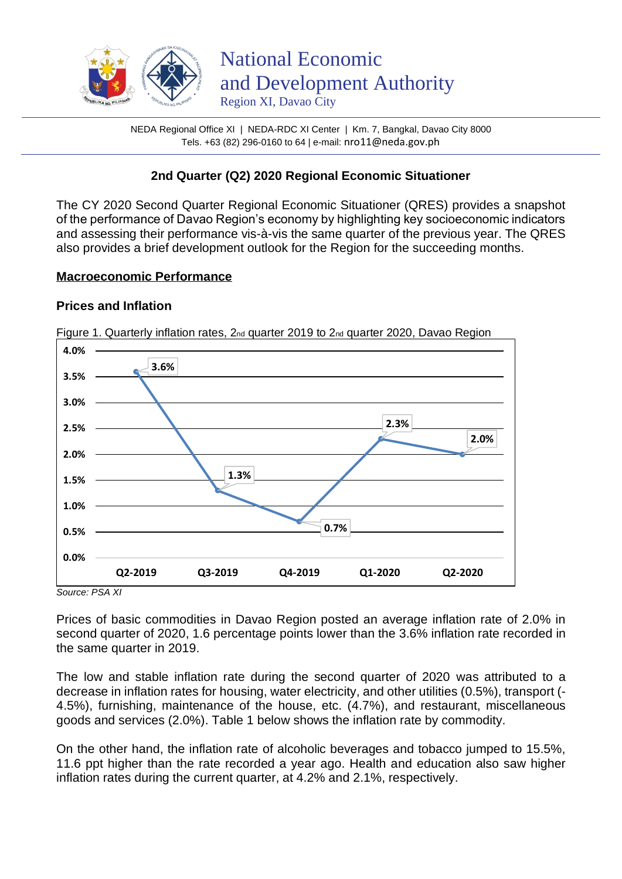

NEDA Regional Office XI | NEDA-RDC XI Center | Km. 7, Bangkal, Davao City 8000 Tels. +63 (82) 296-0160 to 64 | e-mail: nro11@neda.gov.ph

# **2nd Quarter (Q2) 2020 Regional Economic Situationer**

The CY 2020 Second Quarter Regional Economic Situationer (QRES) provides a snapshot of the performance of Davao Region's economy by highlighting key socioeconomic indicators and assessing their performance vis-à-vis the same quarter of the previous year. The QRES also provides a brief development outlook for the Region for the succeeding months.

#### **Macroeconomic Performance**

## **Prices and Inflation**



Figure 1. Quarterly inflation rates, 2<sub>nd</sub> quarter 2019 to 2<sub>nd</sub> quarter 2020, Davao Region

*Source: PSA XI*

Prices of basic commodities in Davao Region posted an average inflation rate of 2.0% in second quarter of 2020, 1.6 percentage points lower than the 3.6% inflation rate recorded in the same quarter in 2019.

The low and stable inflation rate during the second quarter of 2020 was attributed to a decrease in inflation rates for housing, water electricity, and other utilities (0.5%), transport (- 4.5%), furnishing, maintenance of the house, etc. (4.7%), and restaurant, miscellaneous goods and services (2.0%). Table 1 below shows the inflation rate by commodity.

On the other hand, the inflation rate of alcoholic beverages and tobacco jumped to 15.5%, 11.6 ppt higher than the rate recorded a year ago. Health and education also saw higher inflation rates during the current quarter, at 4.2% and 2.1%, respectively.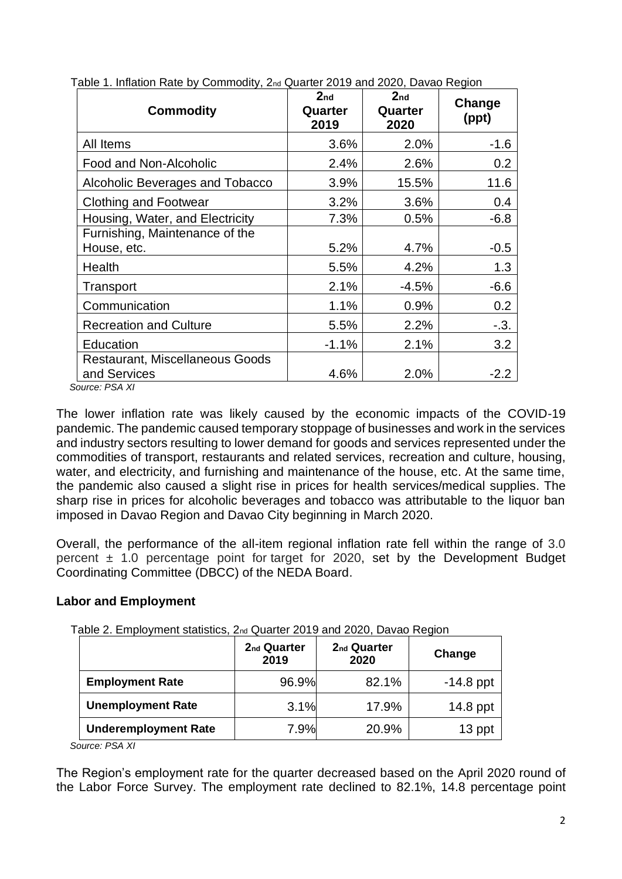| <b>Commodity</b>                                                          | 2 <sub>nd</sub><br>Quarter<br>2019 | 2 <sub>nd</sub><br>Quarter<br>2020 | Change<br>(ppt) |
|---------------------------------------------------------------------------|------------------------------------|------------------------------------|-----------------|
| All Items                                                                 | 3.6%                               | 2.0%                               | $-1.6$          |
| Food and Non-Alcoholic                                                    | 2.4%                               | 2.6%                               | 0.2             |
| Alcoholic Beverages and Tobacco                                           | 3.9%                               | 15.5%                              | 11.6            |
| <b>Clothing and Footwear</b>                                              | 3.2%                               | 3.6%                               | 0.4             |
| Housing, Water, and Electricity                                           | 7.3%                               | 0.5%                               | $-6.8$          |
| Furnishing, Maintenance of the<br>House, etc.                             | 5.2%                               | 4.7%                               | $-0.5$          |
| Health                                                                    | 5.5%                               | 4.2%                               | 1.3             |
| Transport                                                                 | 2.1%                               | -4.5%                              | $-6.6$          |
| Communication                                                             | 1.1%                               | 0.9%                               | 0.2             |
| <b>Recreation and Culture</b>                                             | 5.5%                               | 2.2%                               | $-.3.$          |
| Education                                                                 | $-1.1%$                            | 2.1%                               | 3.2             |
| <b>Restaurant, Miscellaneous Goods</b><br>and Services<br><b>DO 4 1/1</b> | 4.6%                               | 2.0%                               | $-2.2$          |

Table 1. Inflation Rate by Commodity, 2nd Quarter 2019 and 2020, Davao Region

 *Source: PSA XI*

The lower inflation rate was likely caused by the economic impacts of the COVID-19 pandemic. The pandemic caused temporary stoppage of businesses and work in the services and industry sectors resulting to lower demand for goods and services represented under the commodities of transport, restaurants and related services, recreation and culture, housing, water, and electricity, and furnishing and maintenance of the house, etc. At the same time, the pandemic also caused a slight rise in prices for health services/medical supplies. The sharp rise in prices for alcoholic beverages and tobacco was attributable to the liquor ban imposed in Davao Region and Davao City beginning in March 2020.

Overall, the performance of the all-item regional inflation rate fell within the range of 3.0 percent  $\pm$  1.0 percentage point for target for 2020, set by the Development Budget Coordinating Committee (DBCC) of the NEDA Board.

## **Labor and Employment**

Table 2. Employment statistics, 2nd Quarter 2019 and 2020, Davao Region

|                             | 2 <sub>nd</sub> Quarter<br>2019 | 2 <sub>nd</sub> Quarter<br>2020 | Change      |
|-----------------------------|---------------------------------|---------------------------------|-------------|
| <b>Employment Rate</b>      | 96.9%                           | 82.1%                           | $-14.8$ ppt |
| <b>Unemployment Rate</b>    | 3.1%                            | 17.9%                           | $14.8$ ppt  |
| <b>Underemployment Rate</b> | 7.9%                            | 20.9%                           | 13 ppt      |

*Source: PSA XI*

The Region's employment rate for the quarter decreased based on the April 2020 round of the Labor Force Survey. The employment rate declined to 82.1%, 14.8 percentage point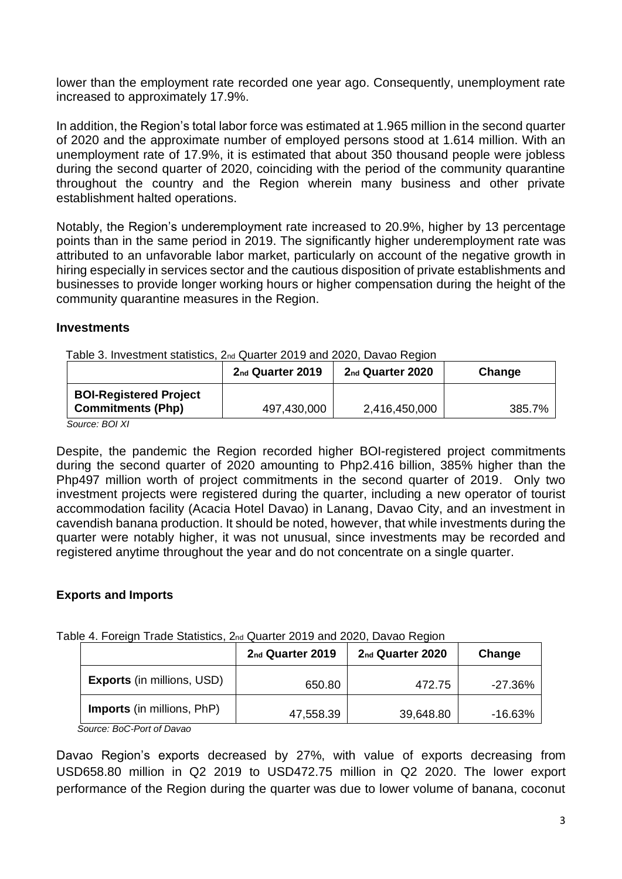lower than the employment rate recorded one year ago. Consequently, unemployment rate increased to approximately 17.9%.

In addition, the Region's total labor force was estimated at 1.965 million in the second quarter of 2020 and the approximate number of employed persons stood at 1.614 million. With an unemployment rate of 17.9%, it is estimated that about 350 thousand people were jobless during the second quarter of 2020, coinciding with the period of the community quarantine throughout the country and the Region wherein many business and other private establishment halted operations.

Notably, the Region's underemployment rate increased to 20.9%, higher by 13 percentage points than in the same period in 2019. The significantly higher underemployment rate was attributed to an unfavorable labor market, particularly on account of the negative growth in hiring especially in services sector and the cautious disposition of private establishments and businesses to provide longer working hours or higher compensation during the height of the community quarantine measures in the Region.

#### **Investments**

Table 3. Investment statistics, 2nd Quarter 2019 and 2020, Davao Region

|                               | 2nd Quarter 2019 | 2nd Quarter 2020 | Change |
|-------------------------------|------------------|------------------|--------|
| <b>BOI-Registered Project</b> |                  |                  |        |
| <b>Commitments (Php)</b>      | 497,430,000      | 2,416,450,000    | 385.7% |

*Source: BOI XI*

Despite, the pandemic the Region recorded higher BOI-registered project commitments during the second quarter of 2020 amounting to Php2.416 billion, 385% higher than the Php497 million worth of project commitments in the second quarter of 2019. Only two investment projects were registered during the quarter, including a new operator of tourist accommodation facility (Acacia Hotel Davao) in Lanang, Davao City, and an investment in cavendish banana production. It should be noted, however, that while investments during the quarter were notably higher, it was not unusual, since investments may be recorded and registered anytime throughout the year and do not concentrate on a single quarter.

#### **Exports and Imports**

Table 4. Foreign Trade Statistics, 2nd Quarter 2019 and 2020, Davao Region

|                                   | 2nd Quarter 2019 | 2nd Quarter 2020 | Change    |
|-----------------------------------|------------------|------------------|-----------|
| <b>Exports (in millions, USD)</b> | 650.80           | 472.75           | $-27.36%$ |
| <b>Imports</b> (in millions, PhP) | 47,558.39        | 39,648.80        | -16.63%   |

 *Source: BoC-Port of Davao*

Davao Region's exports decreased by 27%, with value of exports decreasing from USD658.80 million in Q2 2019 to USD472.75 million in Q2 2020. The lower export performance of the Region during the quarter was due to lower volume of banana, coconut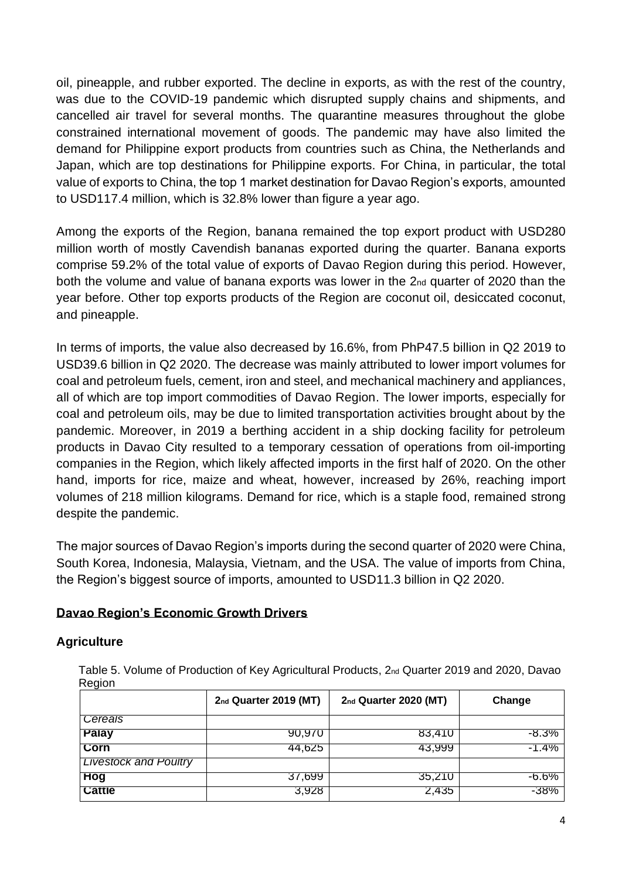oil, pineapple, and rubber exported. The decline in exports, as with the rest of the country, was due to the COVID-19 pandemic which disrupted supply chains and shipments, and cancelled air travel for several months. The quarantine measures throughout the globe constrained international movement of goods. The pandemic may have also limited the demand for Philippine export products from countries such as China, the Netherlands and Japan, which are top destinations for Philippine exports. For China, in particular, the total value of exports to China, the top 1 market destination for Davao Region's exports, amounted to USD117.4 million, which is 32.8% lower than figure a year ago.

Among the exports of the Region, banana remained the top export product with USD280 million worth of mostly Cavendish bananas exported during the quarter. Banana exports comprise 59.2% of the total value of exports of Davao Region during this period. However, both the volume and value of banana exports was lower in the 2<sub>nd</sub> quarter of 2020 than the year before. Other top exports products of the Region are coconut oil, desiccated coconut, and pineapple.

In terms of imports, the value also decreased by 16.6%, from PhP47.5 billion in Q2 2019 to USD39.6 billion in Q2 2020. The decrease was mainly attributed to lower import volumes for coal and petroleum fuels, cement, iron and steel, and mechanical machinery and appliances, all of which are top import commodities of Davao Region. The lower imports, especially for coal and petroleum oils, may be due to limited transportation activities brought about by the pandemic. Moreover, in 2019 a berthing accident in a ship docking facility for petroleum products in Davao City resulted to a temporary cessation of operations from oil-importing companies in the Region, which likely affected imports in the first half of 2020. On the other hand, imports for rice, maize and wheat, however, increased by 26%, reaching import volumes of 218 million kilograms. Demand for rice, which is a staple food, remained strong despite the pandemic.

The major sources of Davao Region's imports during the second quarter of 2020 were China, South Korea, Indonesia, Malaysia, Vietnam, and the USA. The value of imports from China, the Region's biggest source of imports, amounted to USD11.3 billion in Q2 2020.

## **Davao Region's Economic Growth Drivers**

## **Agriculture**

 Table 5. Volume of Production of Key Agricultural Products, 2nd Quarter 2019 and 2020, Davao Region

|                              | 2nd Quarter 2019 (MT) | 2nd Quarter 2020 (MT) | Change  |
|------------------------------|-----------------------|-----------------------|---------|
| Cereals                      |                       |                       |         |
| <b>Palay</b>                 | 90,970                | 83,410                | -8.3%   |
| <b>Corn</b>                  | 44,625                | 43,999                | $-1.4%$ |
| <b>Livestock and Poultry</b> |                       |                       |         |
| Hog                          | 37,699                | 35,210                | -6.6%   |
| <b>Cattle</b>                | 3,928                 | 2,435                 | -38%    |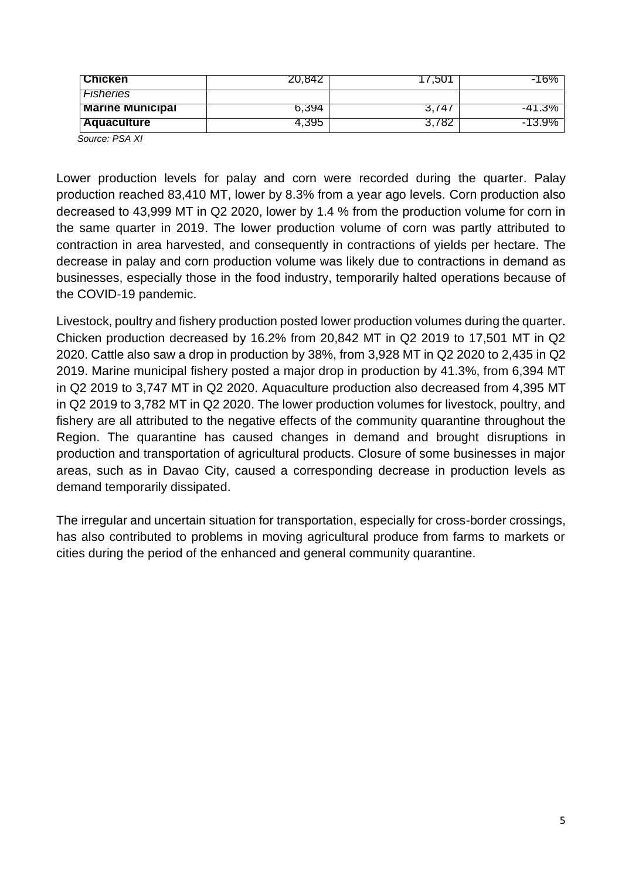| <b>TChicken</b>                    | 20,842 | .ou   | -16%     |
|------------------------------------|--------|-------|----------|
| <b>Fisheries</b>                   |        |       |          |
| <b>Marine Municipal</b>            | 6.394  | 3.741 | $-41.3%$ |
| <b>Aquaculture</b>                 | 4,395  | 3.782 | -13.9%   |
| $O_{\text{max}}$ , DO $\Lambda$ VI |        |       |          |

 *Source: PSA XI*

Lower production levels for palay and corn were recorded during the quarter. Palay production reached 83,410 MT, lower by 8.3% from a year ago levels. Corn production also decreased to 43,999 MT in Q2 2020, lower by 1.4 % from the production volume for corn in the same quarter in 2019. The lower production volume of corn was partly attributed to contraction in area harvested, and consequently in contractions of yields per hectare. The decrease in palay and corn production volume was likely due to contractions in demand as businesses, especially those in the food industry, temporarily halted operations because of the COVID-19 pandemic.

Livestock, poultry and fishery production posted lower production volumes during the quarter. Chicken production decreased by 16.2% from 20,842 MT in Q2 2019 to 17,501 MT in Q2 2020. Cattle also saw a drop in production by 38%, from 3,928 MT in Q2 2020 to 2,435 in Q2 2019. Marine municipal fishery posted a major drop in production by 41.3%, from 6,394 MT in Q2 2019 to 3,747 MT in Q2 2020. Aquaculture production also decreased from 4,395 MT in Q2 2019 to 3,782 MT in Q2 2020. The lower production volumes for livestock, poultry, and fishery are all attributed to the negative effects of the community quarantine throughout the Region. The quarantine has caused changes in demand and brought disruptions in production and transportation of agricultural products. Closure of some businesses in major areas, such as in Davao City, caused a corresponding decrease in production levels as demand temporarily dissipated.

The irregular and uncertain situation for transportation, especially for cross-border crossings, has also contributed to problems in moving agricultural produce from farms to markets or cities during the period of the enhanced and general community quarantine.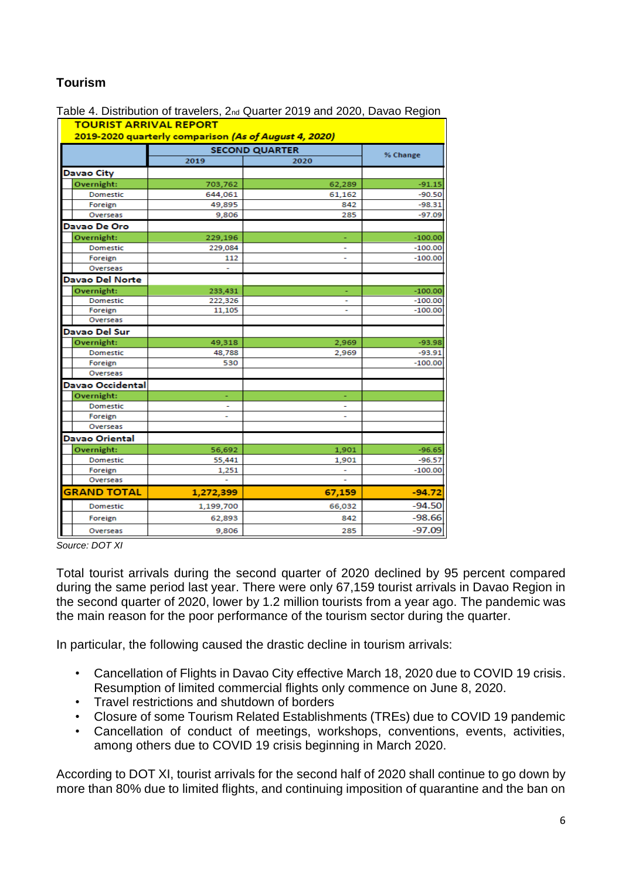# **Tourism**

| $\sim$ Diomodion of travelers, $\mathsf{L}\approx$ addition Eq. to and Eq. by Davas Trogram<br><b>TOURIST ARRIVAL REPORT</b><br>2019-2020 quarterly comparison (As of August 4, 2020) |                       |        |           |  |  |
|---------------------------------------------------------------------------------------------------------------------------------------------------------------------------------------|-----------------------|--------|-----------|--|--|
|                                                                                                                                                                                       | <b>SECOND QUARTER</b> |        |           |  |  |
|                                                                                                                                                                                       | 2019                  | 2020   | % Change  |  |  |
| <b>Davao City</b>                                                                                                                                                                     |                       |        |           |  |  |
| Overnight:                                                                                                                                                                            | 703,762               | 62,289 | $-91.15$  |  |  |
| Domestic                                                                                                                                                                              | 644,061               | 61,162 | $-90.50$  |  |  |
| Foreign                                                                                                                                                                               | 49,895                | 842    | $-98.31$  |  |  |
| Overseas                                                                                                                                                                              | 9,806                 | 285    | $-97.09$  |  |  |
| Davao De Oro                                                                                                                                                                          |                       |        |           |  |  |
| Overnight:                                                                                                                                                                            | 229,196               |        | $-100.00$ |  |  |
| Domestic                                                                                                                                                                              | 229,084               |        | $-100.00$ |  |  |
| Foreign                                                                                                                                                                               | 112                   | ٠      | $-100.00$ |  |  |
| Overseas                                                                                                                                                                              |                       |        |           |  |  |
| <b>Davao Del Norte</b>                                                                                                                                                                |                       |        |           |  |  |
| Overnight:                                                                                                                                                                            | 233,431               |        | $-100.00$ |  |  |
| Domestic                                                                                                                                                                              | 222,326               | ۰      | $-100.00$ |  |  |
| Foreign                                                                                                                                                                               | 11,105                |        | $-100.00$ |  |  |
| Overseas                                                                                                                                                                              |                       |        |           |  |  |
| Davao Del Sur                                                                                                                                                                         |                       |        |           |  |  |
| Overnight:                                                                                                                                                                            | 49,318                | 2,969  | $-93.98$  |  |  |
| Domestic                                                                                                                                                                              | 48,788                | 2,969  | $-93.91$  |  |  |
| Foreign                                                                                                                                                                               | 530                   |        | $-100.00$ |  |  |
| Overseas                                                                                                                                                                              |                       |        |           |  |  |
| Davao Occidental                                                                                                                                                                      |                       |        |           |  |  |
| Overnight:                                                                                                                                                                            |                       |        |           |  |  |
| Domestic                                                                                                                                                                              |                       |        |           |  |  |
| Foreign                                                                                                                                                                               | ۰                     | ۰      |           |  |  |
| Overseas                                                                                                                                                                              |                       |        |           |  |  |
| <b>Davao Oriental</b>                                                                                                                                                                 |                       |        |           |  |  |
| Overnight:                                                                                                                                                                            | 56,692                | 1,901  | $-96.65$  |  |  |
| Domestic                                                                                                                                                                              | 55,441                | 1,901  | $-96.57$  |  |  |
| Foreign                                                                                                                                                                               | 1,251                 |        | $-100.00$ |  |  |
| Overseas                                                                                                                                                                              |                       |        |           |  |  |
| <b>GRAND TOTAL</b>                                                                                                                                                                    | 1,272,399             | 67,159 | $-94.72$  |  |  |
| Domestic                                                                                                                                                                              | 1,199,700             | 66,032 | $-94.50$  |  |  |
| Foreign                                                                                                                                                                               | 62,893                | 842    | $-98.66$  |  |  |
| Overseas                                                                                                                                                                              | 9,806                 | 285    | $-97.09$  |  |  |

Table 4. Distribution of travelers, 2nd Quarter 2019 and 2020, Davao Region

*Source: DOT XI*

Total tourist arrivals during the second quarter of 2020 declined by 95 percent compared during the same period last year. There were only 67,159 tourist arrivals in Davao Region in the second quarter of 2020, lower by 1.2 million tourists from a year ago. The pandemic was the main reason for the poor performance of the tourism sector during the quarter.

In particular, the following caused the drastic decline in tourism arrivals:

- Cancellation of Flights in Davao City effective March 18, 2020 due to COVID 19 crisis. Resumption of limited commercial flights only commence on June 8, 2020.
- Travel restrictions and shutdown of borders
- Closure of some Tourism Related Establishments (TREs) due to COVID 19 pandemic
- Cancellation of conduct of meetings, workshops, conventions, events, activities, among others due to COVID 19 crisis beginning in March 2020.

According to DOT XI, tourist arrivals for the second half of 2020 shall continue to go down by more than 80% due to limited flights, and continuing imposition of quarantine and the ban on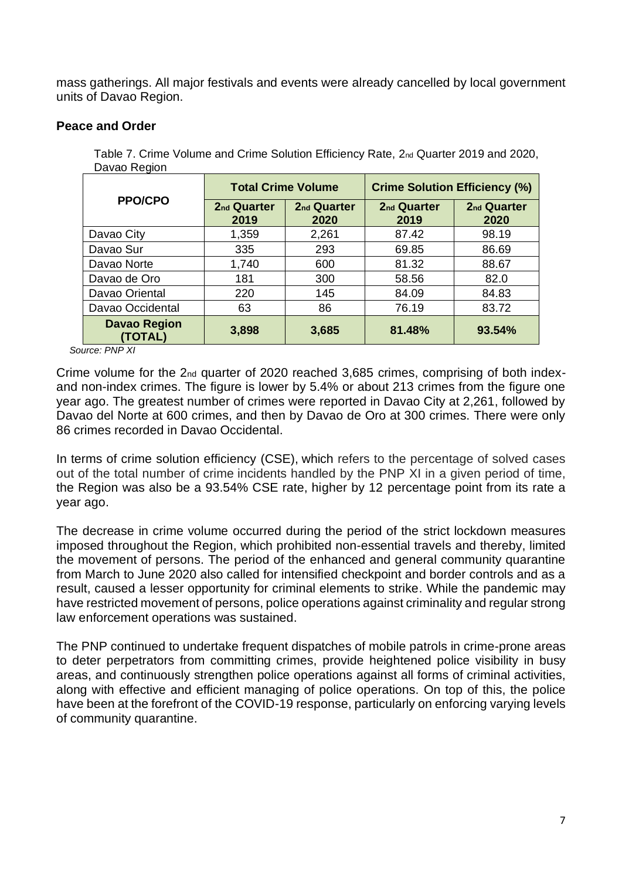mass gatherings. All major festivals and events were already cancelled by local government units of Davao Region.

### **Peace and Order**

| Table 7. Crime Volume and Crime Solution Efficiency Rate, 2nd Quarter 2019 and 2020, |  |  |
|--------------------------------------------------------------------------------------|--|--|
| Davao Region                                                                         |  |  |
|                                                                                      |  |  |

|                                | <b>Total Crime Volume</b>       |                                 | <b>Crime Solution Efficiency (%)</b> |                                 |
|--------------------------------|---------------------------------|---------------------------------|--------------------------------------|---------------------------------|
| <b>PPO/CPO</b>                 | 2 <sub>nd</sub> Quarter<br>2019 | 2 <sub>nd</sub> Quarter<br>2020 | 2 <sub>nd</sub> Quarter<br>2019      | 2 <sub>nd</sub> Quarter<br>2020 |
| Davao City                     | 1,359                           | 2,261                           | 87.42                                | 98.19                           |
| Davao Sur                      | 335                             | 293                             | 69.85                                | 86.69                           |
| Davao Norte                    | 1,740                           | 600                             | 81.32                                | 88.67                           |
| Davao de Oro                   | 181                             | 300                             | 58.56                                | 82.0                            |
| Davao Oriental                 | 220                             | 145                             | 84.09                                | 84.83                           |
| Davao Occidental               | 63                              | 86                              | 76.19                                | 83.72                           |
| <b>Davao Region</b><br>(TOTAL) | 3,898                           | 3,685                           | 81.48%                               | 93.54%                          |

 *Source: PNP XI*

Crime volume for the 2nd quarter of 2020 reached 3,685 crimes, comprising of both indexand non-index crimes. The figure is lower by 5.4% or about 213 crimes from the figure one year ago. The greatest number of crimes were reported in Davao City at 2,261, followed by Davao del Norte at 600 crimes, and then by Davao de Oro at 300 crimes. There were only 86 crimes recorded in Davao Occidental.

In terms of crime solution efficiency (CSE), which refers to the percentage of solved cases out of the total number of crime incidents handled by the PNP XI in a given period of time, the Region was also be a 93.54% CSE rate, higher by 12 percentage point from its rate a year ago.

The decrease in crime volume occurred during the period of the strict lockdown measures imposed throughout the Region, which prohibited non-essential travels and thereby, limited the movement of persons. The period of the enhanced and general community quarantine from March to June 2020 also called for intensified checkpoint and border controls and as a result, caused a lesser opportunity for criminal elements to strike. While the pandemic may have restricted movement of persons, police operations against criminality and regular strong law enforcement operations was sustained.

The PNP continued to undertake frequent dispatches of mobile patrols in crime-prone areas to deter perpetrators from committing crimes, provide heightened police visibility in busy areas, and continuously strengthen police operations against all forms of criminal activities, along with effective and efficient managing of police operations. On top of this, the police have been at the forefront of the COVID-19 response, particularly on enforcing varying levels of community quarantine.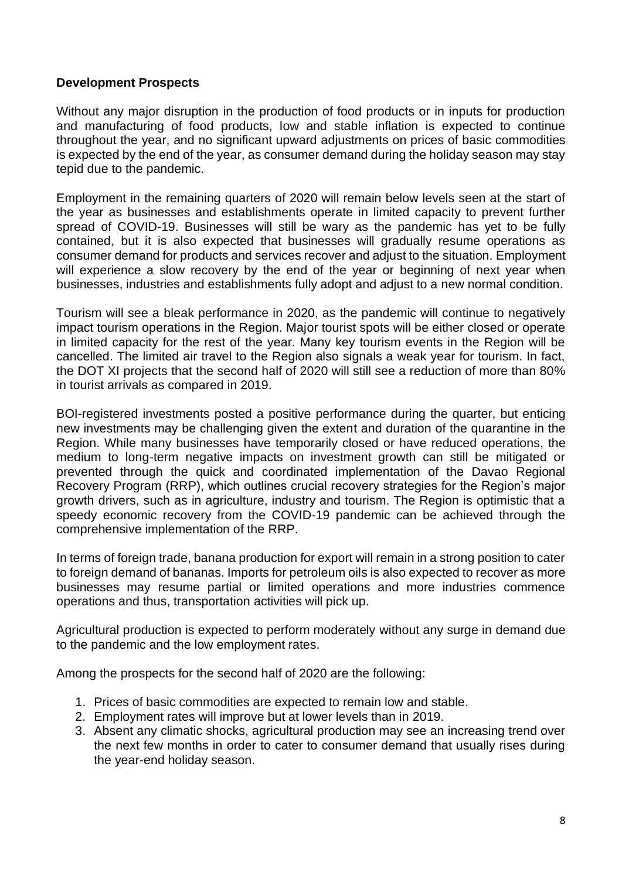### **Development Prospects**

Without any major disruption in the production of food products or in inputs for production and manufacturing of food products, low and stable inflation is expected to continue throughout the year, and no significant upward adjustments on prices of basic commodities is expected by the end of the year, as consumer demand during the holiday season may stay tepid due to the pandemic.

Employment in the remaining quarters of 2020 will remain below levels seen at the start of the year as businesses and establishments operate in limited capacity to prevent further spread of COVID-19. Businesses will still be wary as the pandemic has yet to be fully contained, but it is also expected that businesses will gradually resume operations as consumer demand for products and services recover and adjust to the situation. Employment will experience a slow recovery by the end of the year or beginning of next year when businesses, industries and establishments fully adopt and adjust to a new normal condition.

Tourism will see a bleak performance in 2020, as the pandemic will continue to negatively impact tourism operations in the Region. Major tourist spots will be either closed or operate in limited capacity for the rest of the year. Many key tourism events in the Region will be cancelled. The limited air travel to the Region also signals a weak year for tourism. In fact, the DOT XI projects that the second half of 2020 will still see a reduction of more than 80% in tourist arrivals as compared in 2019.

BOI-registered investments posted a positive performance during the quarter, but enticing new investments may be challenging given the extent and duration of the quarantine in the Region. While many businesses have temporarily closed or have reduced operations, the medium to long-term negative impacts on investment growth can still be mitigated or prevented through the quick and coordinated implementation of the Davao Regional Recovery Program (RRP), which outlines crucial recovery strategies for the Region's major growth drivers, such as in agriculture, industry and tourism. The Region is optimistic that a speedy economic recovery from the COVID-19 pandemic can be achieved through the comprehensive implementation of the RRP.

In terms of foreign trade, banana production for export will remain in a strong position to cater to foreign demand of bananas. Imports for petroleum oils is also expected to recover as more businesses may resume partial or limited operations and more industries commence operations and thus, transportation activities will pick up.

Agricultural production is expected to perform moderately without any surge in demand due to the pandemic and the low employment rates.

Among the prospects for the second half of 2020 are the following:

- 1. Prices of basic commodities are expected to remain low and stable.
- 2. Employment rates will improve but at lower levels than in 2019.
- 3. Absent any climatic shocks, agricultural production may see an increasing trend over the next few months in order to cater to consumer demand that usually rises during the year-end holiday season.